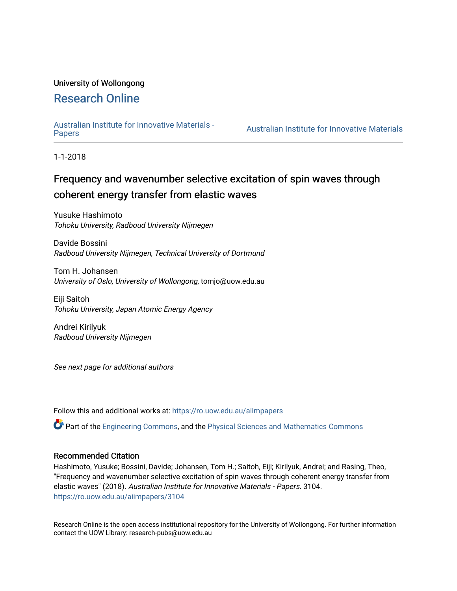### University of Wollongong

## [Research Online](https://ro.uow.edu.au/)

# [Australian Institute for Innovative Materials -](https://ro.uow.edu.au/aiimpapers)

Australian Institute for Innovative Materials

1-1-2018

# Frequency and wavenumber selective excitation of spin waves through coherent energy transfer from elastic waves

Yusuke Hashimoto Tohoku University, Radboud University Nijmegen

Davide Bossini Radboud University Nijmegen, Technical University of Dortmund

Tom H. Johansen University of Oslo, University of Wollongong, tomjo@uow.edu.au

Eiji Saitoh Tohoku University, Japan Atomic Energy Agency

Andrei Kirilyuk Radboud University Nijmegen

See next page for additional authors

Follow this and additional works at: [https://ro.uow.edu.au/aiimpapers](https://ro.uow.edu.au/aiimpapers?utm_source=ro.uow.edu.au%2Faiimpapers%2F3104&utm_medium=PDF&utm_campaign=PDFCoverPages)

Part of the [Engineering Commons](http://network.bepress.com/hgg/discipline/217?utm_source=ro.uow.edu.au%2Faiimpapers%2F3104&utm_medium=PDF&utm_campaign=PDFCoverPages), and the [Physical Sciences and Mathematics Commons](http://network.bepress.com/hgg/discipline/114?utm_source=ro.uow.edu.au%2Faiimpapers%2F3104&utm_medium=PDF&utm_campaign=PDFCoverPages) 

#### Recommended Citation

Hashimoto, Yusuke; Bossini, Davide; Johansen, Tom H.; Saitoh, Eiji; Kirilyuk, Andrei; and Rasing, Theo, "Frequency and wavenumber selective excitation of spin waves through coherent energy transfer from elastic waves" (2018). Australian Institute for Innovative Materials - Papers. 3104. [https://ro.uow.edu.au/aiimpapers/3104](https://ro.uow.edu.au/aiimpapers/3104?utm_source=ro.uow.edu.au%2Faiimpapers%2F3104&utm_medium=PDF&utm_campaign=PDFCoverPages) 

Research Online is the open access institutional repository for the University of Wollongong. For further information contact the UOW Library: research-pubs@uow.edu.au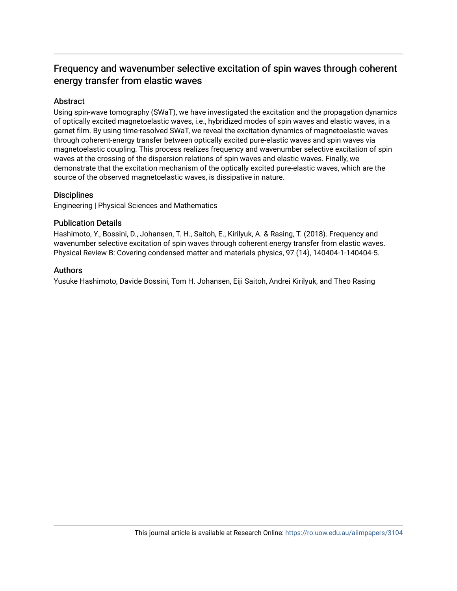## Frequency and wavenumber selective excitation of spin waves through coherent energy transfer from elastic waves

#### Abstract

Using spin-wave tomography (SWaT), we have investigated the excitation and the propagation dynamics of optically excited magnetoelastic waves, i.e., hybridized modes of spin waves and elastic waves, in a garnet film. By using time-resolved SWaT, we reveal the excitation dynamics of magnetoelastic waves through coherent-energy transfer between optically excited pure-elastic waves and spin waves via magnetoelastic coupling. This process realizes frequency and wavenumber selective excitation of spin waves at the crossing of the dispersion relations of spin waves and elastic waves. Finally, we demonstrate that the excitation mechanism of the optically excited pure-elastic waves, which are the source of the observed magnetoelastic waves, is dissipative in nature.

#### **Disciplines**

Engineering | Physical Sciences and Mathematics

#### Publication Details

Hashimoto, Y., Bossini, D., Johansen, T. H., Saitoh, E., Kirilyuk, A. & Rasing, T. (2018). Frequency and wavenumber selective excitation of spin waves through coherent energy transfer from elastic waves. Physical Review B: Covering condensed matter and materials physics, 97 (14), 140404-1-140404-5.

#### Authors

Yusuke Hashimoto, Davide Bossini, Tom H. Johansen, Eiji Saitoh, Andrei Kirilyuk, and Theo Rasing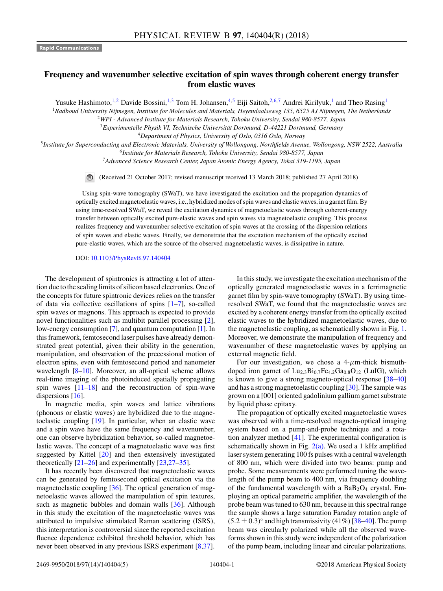#### **Frequency and wavenumber selective excitation of spin waves through coherent energy transfer from elastic waves**

Yusuke Hashimoto,<sup>1,2</sup> Davide Bossini,<sup>1,3</sup> Tom H. Johansen,<sup>4,5</sup> Eiji Saitoh,<sup>2,6,7</sup> Andrei Kirilyuk,<sup>1</sup> and Theo Rasing<sup>1</sup>

<sup>1</sup>*Radboud University Nijmegen, Institute for Molecules and Materials, Heyendaalseweg 135, 6525 AJ Nijmegen, The Netherlands*

<sup>2</sup>*WPI - Advanced Institute for Materials Research, Tohoku University, Sendai 980-8577, Japan*

<sup>3</sup>*Experimentelle Physik VI, Technische Universität Dortmund, D-44221 Dortmund, Germany*

<sup>4</sup>*Department of Physics, University of Oslo, 0316 Oslo, Norway*

<sup>5</sup>*Institute for Superconducting and Electronic Materials, University of Wollongong, Northfields Avenue, Wollongong, NSW 2522, Australia*

<sup>6</sup>*Institute for Materials Research, Tohoku University, Sendai 980-8577, Japan*

<sup>7</sup>*Advanced Science Research Center, Japan Atomic Energy Agency, Tokai 319-1195, Japan*

(Received 21 October 2017; revised manuscript received 13 March 2018; published 27 April 2018)

Using spin-wave tomography (SWaT), we have investigated the excitation and the propagation dynamics of optically excited magnetoelastic waves, i.e., hybridized modes of spin waves and elastic waves, in a garnet film. By using time-resolved SWaT, we reveal the excitation dynamics of magnetoelastic waves through coherent-energy transfer between optically excited pure-elastic waves and spin waves via magnetoelastic coupling. This process realizes frequency and wavenumber selective excitation of spin waves at the crossing of the dispersion relations of spin waves and elastic waves. Finally, we demonstrate that the excitation mechanism of the optically excited pure-elastic waves, which are the source of the observed magnetoelastic waves, is dissipative in nature.

DOI: [10.1103/PhysRevB.97.140404](https://doi.org/10.1103/PhysRevB.97.140404)

The development of spintronics is attracting a lot of attention due to the scaling limits of silicon based electronics. One of the concepts for future spintronic devices relies on the transfer of data via collective oscillations of spins [\[1–7\]](#page-5-0), so-called spin waves or magnons. This approach is expected to provide novel functionalities such as multibit parallel processing [\[2\]](#page-5-0), low-energy consumption [\[7\]](#page-5-0), and quantum computation [\[1\]](#page-5-0). In this framework, femtosecond laser pulses have already demonstrated great potential, given their ability in the generation, manipulation, and observation of the precessional motion of electron spins, even with femtosecond period and nanometer wavelength  $[8-10]$ . Moreover, an all-optical scheme allows real-time imaging of the photoinduced spatially propagating spin waves  $[11-18]$  and the reconstruction of spin-wave dispersions [\[16\]](#page-5-0).

In magnetic media, spin waves and lattice vibrations (phonons or elastic waves) are hybridized due to the magnetoelastic coupling [\[19\]](#page-6-0). In particular, when an elastic wave and a spin wave have the same frequency and wavenumber, one can observe hybridization behavior, so-called magnetoelastic waves. The concept of a magnetoelastic wave was first suggested by Kittel [\[20\]](#page-6-0) and then extensively investigated theoretically [\[21–26\]](#page-6-0) and experimentally [\[23,27–35\]](#page-6-0).

It has recently been discovered that magnetoelastic waves can be generated by femtosecond optical excitation via the magnetoelastic coupling [\[36\]](#page-6-0). The optical generation of magnetoelastic waves allowed the manipulation of spin textures, such as magnetic bubbles and domain walls [\[36\]](#page-6-0). Although in this study the excitation of the magnetoelastic waves was attributed to impulsive stimulated Raman scattering (ISRS), this interpretation is controversial since the reported excitation fluence dependence exhibited threshold behavior, which has never been observed in any previous ISRS experiment [\[8](#page-5-0)[,37\]](#page-6-0).

In this study, we investigate the excitation mechanism of the optically generated magnetoelastic waves in a ferrimagnetic garnet film by spin-wave tomography (SWaT). By using timeresolved SWaT, we found that the magnetoelastic waves are excited by a coherent energy transfer from the optically excited elastic waves to the hybridized magnetoelastic waves, due to the magnetoelastic coupling, as schematically shown in Fig. [1.](#page-3-0) Moreover, we demonstrate the manipulation of frequency and wavenumber of these magnetoelastic waves by applying an external magnetic field.

For our investigation, we chose a  $4-\mu$ m-thick bismuthdoped iron garnet of  $\text{Lu}_{2,3}\text{Bi}_{0,7}\text{Fe}_{4,2}\text{Ga}_{0,8}\text{O}_{12}$  (LuIG), which is known to give a strong magneto-optical response [\[38–40\]](#page-6-0) and has a strong magnetoelastic coupling [\[30\]](#page-6-0). The sample was grown on a [001] oriented gadolinium gallium garnet substrate by liquid phase epitaxy.

The propagation of optically excited magnetoelastic waves was observed with a time-resolved magneto-optical imaging system based on a pump-and-probe technique and a rotation analyzer method [\[41\]](#page-6-0). The experimental configuration is schematically shown in Fig.  $2(a)$ . We used a 1 kHz amplified laser system generating 100 fs pulses with a central wavelength of 800 nm, which were divided into two beams: pump and probe. Some measurements were performed tuning the wavelength of the pump beam to 400 nm, via frequency doubling of the fundamental wavelength with a  $BaB<sub>2</sub>O<sub>4</sub>$  crystal. Employing an optical parametric amplifier, the wavelength of the probe beam was tuned to 630 nm, because in this spectral range the sample shows a large saturation Faraday rotation angle of  $(5.2 \pm 0.3)$ ° and high transmissivity  $(41\%)$  [\[38–40\]](#page-6-0). The pump beam was circularly polarized while all the observed waveforms shown in this study were independent of the polarization of the pump beam, including linear and circular polarizations.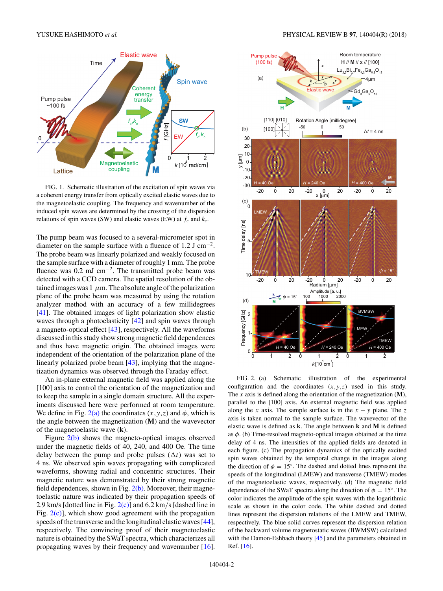<span id="page-3-0"></span>

FIG. 1. Schematic illustration of the excitation of spin waves via a coherent energy transfer from optically excited elastic waves due to the magnetoelastic coupling. The frequency and wavenumber of the induced spin waves are determined by the crossing of the dispersion relations of spin waves (SW) and elastic waves (EW) at  $f_c$  and  $k_c$ .

The pump beam was focused to a several-micrometer spot in diameter on the sample surface with a fluence of 1.2 J cm<sup>-2</sup>. The probe beam was linearly polarized and weakly focused on the sample surface with a diameter of roughly 1 mm. The probe fluence was  $0.2$  mJ cm<sup>-2</sup>. The transmitted probe beam was detected with a CCD camera. The spatial resolution of the obtained images was  $1 \mu m$ . The absolute angle of the polarization plane of the probe beam was measured by using the rotation analyzer method with an accuracy of a few millidegrees [\[41\]](#page-6-0). The obtained images of light polarization show elastic waves through a photoelasticity [\[42\]](#page-6-0) and spin waves through a magneto-optical effect [\[43\]](#page-6-0), respectively. All the waveforms discussed in this study show strong magnetic field dependences and thus have magnetic origin. The obtained images were independent of the orientation of the polarization plane of the linearly polarized probe beam [\[43\]](#page-6-0), implying that the magnetization dynamics was observed through the Faraday effect.

An in-plane external magnetic field was applied along the [100] axis to control the orientation of the magnetization and to keep the sample in a single domain structure. All the experiments discussed here were performed at room temperature. We define in Fig.  $2(a)$  the coordinates  $(x, y, z)$  and  $\phi$ , which is the angle between the magnetization (**M**) and the wavevector of the magnetoelastic wave (**k**).

Figure 2(b) shows the magneto-optical images observed under the magnetic fields of 40, 240, and 400 Oe. The time delay between the pump and probe pulses  $(\Delta t)$  was set to 4 ns. We observed spin waves propagating with complicated waveforms, showing radial and concentric structures. Their magnetic nature was demonstrated by their strong magnetic field dependences, shown in Fig.  $2(b)$ . Moreover, their magnetoelastic nature was indicated by their propagation speeds of 2.9 km/s [dotted line in Fig. 2(c)] and 6.2 km*/*s [dashed line in Fig.  $2(c)$ ], which show good agreement with the propagation speeds of the transverse and the longitudinal elastic waves [\[44\]](#page-6-0), respectively. The convincing proof of their magnetoelastic nature is obtained by the SWaT spectra, which characterizes all propagating waves by their frequency and wavenumber [\[16\]](#page-5-0).



FIG. 2. (a) Schematic illustration of the experimental configuration and the coordinates (*x,y,z*) used in this study. The *x* axis is defined along the orientation of the magnetization (**M**), parallel to the [100] axis. An external magnetic field was applied along the *x* axis. The sample surface is in the  $x - y$  plane. The *z* axis is taken normal to the sample surface. The wavevector of the elastic wave is defined as **k**. The angle between **k** and **M** is defined as  $\phi$ . (b) Time-resolved magneto-optical images obtained at the time delay of 4 ns. The intensities of the applied fields are denoted in each figure. (c) The propagation dynamics of the optically excited spin waves obtained by the temporal change in the images along the direction of  $\phi = 15^\circ$ . The dashed and dotted lines represent the speeds of the longitudinal (LMEW) and transverse (TMEW) modes of the magnetoelastic waves, respectively. (d) The magnetic field dependence of the SWaT spectra along the direction of  $\phi = 15^\circ$ . The color indicates the amplitude of the spin waves with the logarithmic scale as shown in the color code. The white dashed and dotted lines represent the dispersion relations of the LMEW and TMEW, respectively. The blue solid curves represent the dispersion relation of the backward volume magnetostatic waves (BWMSW) calculated with the Damon-Eshbach theory [\[45\]](#page-6-0) and the parameters obtained in Ref. [\[16\]](#page-5-0).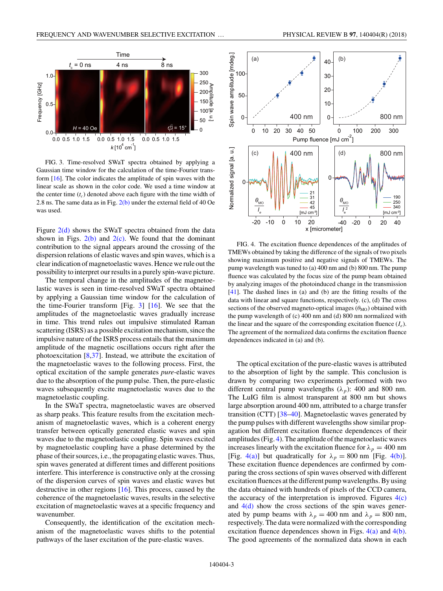<span id="page-4-0"></span>

FIG. 3. Time-resolved SWaT spectra obtained by applying a Gaussian time window for the calculation of the time-Fourier transform [\[16\]](#page-5-0). The color indicates the amplitude of spin waves with the linear scale as shown in the color code. We used a time window at the center time  $(t_c)$  denoted above each figure with the time width of 2.8 ns. The same data as in Fig.  $2(b)$  under the external field of 40 Oe was used.

Figure  $2(d)$  shows the SWaT spectra obtained from the data shown in Figs.  $2(b)$  and  $2(c)$ . We found that the dominant contribution to the signal appears around the crossing of the dispersion relations of elastic waves and spin waves, which is a clear indication of magnetoelastic waves. Hence we rule out the possibility to interpret our results in a purely spin-wave picture.

The temporal change in the amplitudes of the magnetoelastic waves is seen in time-resolved SWaT spectra obtained by applying a Gaussian time window for the calculation of the time-Fourier transform [Fig.  $3$ ] [\[16\]](#page-5-0). We see that the amplitudes of the magnetoelastic waves gradually increase in time. This trend rules out impulsive stimulated Raman scattering (ISRS) as a possible excitation mechanism, since the impulsive nature of the ISRS process entails that the maximum amplitude of the magnetic oscillations occurs right after the photoexcitation [\[8,](#page-5-0)[37\]](#page-6-0). Instead, we attribute the excitation of the magnetoelastic waves to the following process. First, the optical excitation of the sample generates *pure*-elastic waves due to the absorption of the pump pulse. Then, the pure-elastic waves subsequently excite magnetoelastic waves due to the magnetoelastic coupling.

In the SWaT spectra, magnetoelastic waves are observed as sharp peaks. This feature results from the excitation mechanism of magnetoelastic waves, which is a coherent energy transfer between optically generated elastic waves and spin waves due to the magnetoelastic coupling. Spin waves excited by magnetoelastic coupling have a phase determined by the phase of their sources, i.e., the propagating elastic waves. Thus, spin waves generated at different times and different positions interfere. This interference is constructive only at the crossing of the dispersion curves of spin waves and elastic waves but destructive in other regions [\[16\]](#page-5-0). This process, caused by the coherence of the magnetoelastic waves, results in the selective excitation of magnetoelastic waves at a specific frequency and wavenumber.

Consequently, the identification of the excitation mechanism of the magnetoelastic waves shifts to the potential pathways of the laser excitation of the pure-elastic waves.





FIG. 4. The excitation fluence dependences of the amplitudes of TMEWs obtained by taking the difference of the signals of two pixels showing maximum positive and negative signals of TMEWs. The pump wavelength was tuned to (a) 400 nm and (b) 800 nm. The pump fluence was calculated by the focus size of the pump beam obtained by analyzing images of the photoinduced change in the transmission [\[41\]](#page-6-0). The dashed lines in (a) and (b) are the fitting results of the data with linear and square functions, respectively. (c), (d) The cross sections of the observed magneto-optical images  $(\theta_{MO})$  obtained with the pump wavelength of (c) 400 nm and (d) 800 nm normalized with the linear and the square of the corresponding excitation fluence  $(I_e)$ . The agreement of the normalized data confirms the excitation fluence dependences indicated in (a) and (b).

The optical excitation of the pure-elastic waves is attributed to the absorption of light by the sample. This conclusion is drawn by comparing two experiments performed with two different central pump wavelengths  $(\lambda_p)$ : 400 and 800 nm. The LuIG film is almost transparent at 800 nm but shows large absorption around 400 nm, attributed to a charge transfer transition (CTT) [\[38–40\]](#page-6-0). Magnetoelastic waves generated by the pump pulses with different wavelengths show similar propagation but different excitation fluence dependences of their amplitudes (Fig. 4). The amplitude of the magnetoelastic waves increases linearly with the excitation fluence for  $\lambda_p = 400$  nm [Fig. 4(a)] but quadratically for  $\lambda_p = 800$  nm [Fig. 4(b)]. These excitation fluence dependences are confirmed by comparing the cross sections of spin waves observed with different excitation fluences at the different pump wavelengths. By using the data obtained with hundreds of pixels of the CCD camera, the accuracy of the interpretation is improved. Figures  $4(c)$ and  $4(d)$  show the cross sections of the spin waves generated by pump beams with  $\lambda_p = 400$  nm and  $\lambda_p = 800$  nm, respectively. The data were normalized with the corresponding excitation fluence dependences shown in Figs.  $4(a)$  and  $4(b)$ . The good agreements of the normalized data shown in each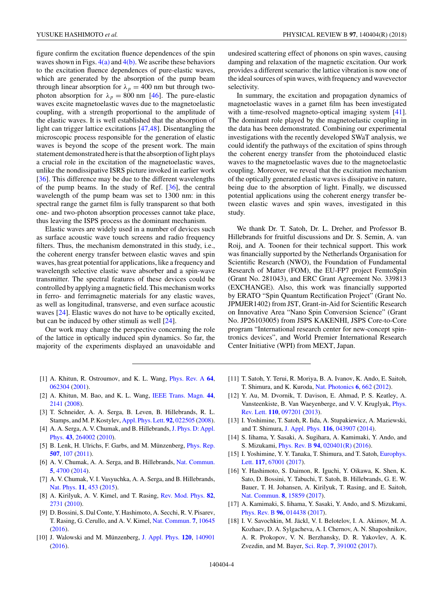<span id="page-5-0"></span>figure confirm the excitation fluence dependences of the spin waves shown in Figs.  $4(a)$  and  $4(b)$ . We ascribe these behaviors to the excitation fluence dependences of pure-elastic waves, which are generated by the absorption of the pump beam through linear absorption for  $\lambda_p = 400$  nm but through twophoton absorption for  $\lambda_p = 800$  nm [\[46\]](#page-6-0). The pure-elastic waves excite magnetoelastic waves due to the magnetoelastic coupling, with a strength proportional to the amplitude of the elastic waves. It is well established that the absorption of light can trigger lattice excitations [\[47,48\]](#page-6-0). Disentangling the microscopic process responsible for the generation of elastic waves is beyond the scope of the present work. The main statement demonstrated here is that the absorption of light plays a crucial role in the excitation of the magnetoelastic waves, unlike the nondissipative ISRS picture invoked in earlier work [\[36\]](#page-6-0). This difference may be due to the different wavelengths of the pump beams. In the study of Ref. [\[36\]](#page-6-0), the central wavelength of the pump beam was set to 1300 nm: in this spectral range the garnet film is fully transparent so that both one- and two-photon absorption processes cannot take place, thus leaving the ISPS process as the dominant mechanism.

Elastic waves are widely used in a number of devices such as surface acoustic wave touch screens and radio frequency filters. Thus, the mechanism demonstrated in this study, i.e., the coherent energy transfer between elastic waves and spin waves, has great potential for applications, like a frequency and wavelength selective elastic wave absorber and a spin-wave transmitter. The spectral features of these devices could be controlled by applying a magnetic field. This mechanism works in ferro- and ferrimagnetic materials for any elastic waves, as well as longitudinal, transverse, and even surface acoustic waves [\[24\]](#page-6-0). Elastic waves do not have to be optically excited, but can be induced by other stimuli as well [\[24\]](#page-6-0).

Our work may change the perspective concerning the role of the lattice in optically induced spin dynamics. So far, the majority of the experiments displayed an unavoidable and undesired scattering effect of phonons on spin waves, causing damping and relaxation of the magnetic excitation. Our work provides a different scenario: the lattice vibration is now one of the ideal sources of spin waves, with frequency and wavevector selectivity.

In summary, the excitation and propagation dynamics of magnetoelastic waves in a garnet film has been investigated with a time-resolved magneto-optical imaging system [\[41\]](#page-6-0). The dominant role played by the magnetoelastic coupling in the data has been demonstrated. Combining our experimental investigations with the recently developed SWaT analysis, we could identify the pathways of the excitation of spins through the coherent energy transfer from the photoinduced elastic waves to the magnetoelastic waves due to the magnetoelastic coupling. Moreover, we reveal that the excitation mechanism of the optically generated elastic waves is dissipative in nature, being due to the absorption of light. Finally, we discussed potential applications using the coherent energy transfer between elastic waves and spin waves, investigated in this study.

We thank Dr. T. Satoh, Dr. L. Dreher, and Professor B. Hillebrands for fruitful discussions and Dr. S. Semin, A. van Roij, and A. Toonen for their technical support. This work was financially supported by the Netherlands Organisation for Scientific Research (NWO), the Foundation of Fundamental Research of Matter (FOM), the EU-FP7 project FemtoSpin (Grant No. 281043), and ERC Grant Agreement No. 339813 (EXCHANGE). Also, this work was financially supported by ERATO "Spin Quantum Rectification Project" (Grant No. JPMJER1402) from JST, Grant-in-Aid for Scientific Research on Innovative Area "Nano Spin Conversion Science" (Grant No. JP26103005) from JSPS KAKENHI, JSPS Core-to-Core program "International research center for new-concept spintronics devices", and World Premier International Research Center Initiative (WPI) from MEXT, Japan.

- [1] A. Khitun, R. Ostroumov, and K. L. Wang, [Phys. Rev. A](https://doi.org/10.1103/PhysRevA.64.062304) **[64](https://doi.org/10.1103/PhysRevA.64.062304)**, [062304](https://doi.org/10.1103/PhysRevA.64.062304) [\(2001\)](https://doi.org/10.1103/PhysRevA.64.062304).
- [2] A. Khitun, M. Bao, and K. L. Wang, [IEEE Trans. Magn.](https://doi.org/10.1109/TMAG.2008.2000812) **[44](https://doi.org/10.1109/TMAG.2008.2000812)**, [2141](https://doi.org/10.1109/TMAG.2008.2000812) [\(2008\)](https://doi.org/10.1109/TMAG.2008.2000812).
- [3] T. Schneider, A. A. Serga, B. Leven, B. Hillebrands, R. L. Stamps, and M. P. Kostylev, [Appl. Phys. Lett.](https://doi.org/10.1063/1.2834714) **[92](https://doi.org/10.1063/1.2834714)**, [022505](https://doi.org/10.1063/1.2834714) [\(2008\)](https://doi.org/10.1063/1.2834714).
- [4] A. A. Serga, A. V. Chumak, and B. Hillebrands, J. Phys. D: Appl. Phys. **[43](https://doi.org/10.1088/0022-3727/43/26/264002)**, [264002](https://doi.org/10.1088/0022-3727/43/26/264002) [\(2010\)](https://doi.org/10.1088/0022-3727/43/26/264002).
- [5] B. Lenk, H. Ulrichs, F. Garbs, and M. Münzenberg, [Phys. Rep.](https://doi.org/10.1016/j.physrep.2011.06.003) **[507](https://doi.org/10.1016/j.physrep.2011.06.003)**, [107](https://doi.org/10.1016/j.physrep.2011.06.003) [\(2011\)](https://doi.org/10.1016/j.physrep.2011.06.003).
- [6] A. V. Chumak, A. A. Serga, and B. Hillebrands, [Nat. Commun.](https://doi.org/10.1038/ncomms5700) **[5](https://doi.org/10.1038/ncomms5700)**, [4700](https://doi.org/10.1038/ncomms5700) [\(2014\)](https://doi.org/10.1038/ncomms5700).
- [7] A. V. Chumak, V. I. Vasyuchka, A. A. Serga, and B. Hillebrands, [Nat. Phys.](https://doi.org/10.1038/nphys3347) **[11](https://doi.org/10.1038/nphys3347)**, [453](https://doi.org/10.1038/nphys3347) [\(2015\)](https://doi.org/10.1038/nphys3347).
- [8] A. Kirilyuk, A. V. Kimel, and T. Rasing, [Rev. Mod. Phys.](https://doi.org/10.1103/RevModPhys.82.2731) **[82](https://doi.org/10.1103/RevModPhys.82.2731)**, [2731](https://doi.org/10.1103/RevModPhys.82.2731) [\(2010\)](https://doi.org/10.1103/RevModPhys.82.2731).
- [9] D. Bossini, S. Dal Conte, Y. Hashimoto, A. Secchi, R. V. Pisarev, T. Rasing, G. Cerullo, and A. V. Kimel, [Nat. Commun.](https://doi.org/10.1038/ncomms10645) **[7](https://doi.org/10.1038/ncomms10645)**, [10645](https://doi.org/10.1038/ncomms10645) [\(2016\)](https://doi.org/10.1038/ncomms10645).
- [10] J. Walowski and M. Münzenberg, [J. Appl. Phys.](https://doi.org/10.1063/1.4958846) **[120](https://doi.org/10.1063/1.4958846)**, [140901](https://doi.org/10.1063/1.4958846) [\(2016\)](https://doi.org/10.1063/1.4958846).
- [11] T. Satoh, Y. Terui, R. Moriya, B. A. Ivanov, K. Ando, E. Saitoh, T. Shimura, and K. Kuroda, [Nat. Photonics](https://doi.org/10.1038/nphoton.2012.218) **[6](https://doi.org/10.1038/nphoton.2012.218)**, [662](https://doi.org/10.1038/nphoton.2012.218) [\(2012\)](https://doi.org/10.1038/nphoton.2012.218).
- [12] Y. Au, M. Dvornik, T. Davison, E. Ahmad, P. S. Keatley, A. [Vansteenkiste, B. Van Waeyenberge, and V. V. Kruglyak,](https://doi.org/10.1103/PhysRevLett.110.097201) Phys. Rev. Lett. **[110](https://doi.org/10.1103/PhysRevLett.110.097201)**, [097201](https://doi.org/10.1103/PhysRevLett.110.097201) [\(2013\)](https://doi.org/10.1103/PhysRevLett.110.097201).
- [13] I. Yoshimine, T. Satoh, R. Iida, A. Stupakiewicz, A. Maziewski, and T. Shimura, [J. Appl. Phys.](https://doi.org/10.1063/1.4891107) **[116](https://doi.org/10.1063/1.4891107)**, [043907](https://doi.org/10.1063/1.4891107) [\(2014\)](https://doi.org/10.1063/1.4891107).
- [14] S. Iihama, Y. Sasaki, A. Sugihara, A. Kamimaki, Y. Ando, and S. Mizukami, [Phys. Rev. B](https://doi.org/10.1103/PhysRevB.94.020401) **[94](https://doi.org/10.1103/PhysRevB.94.020401)**, [020401\(R\)](https://doi.org/10.1103/PhysRevB.94.020401) [\(2016\)](https://doi.org/10.1103/PhysRevB.94.020401).
- [15] [I. Yoshimine, Y. Y. Tanaka, T. Shimura, and T. Satoh,](https://doi.org/10.1209/0295-5075/117/67001) Europhys. Lett. **[117](https://doi.org/10.1209/0295-5075/117/67001)**, [67001](https://doi.org/10.1209/0295-5075/117/67001) [\(2017\)](https://doi.org/10.1209/0295-5075/117/67001).
- [16] Y. Hashimoto, S. Daimon, R. Iguchi, Y. Oikawa, K. Shen, K. Sato, D. Bossini, Y. Tabuchi, T. Satoh, B. Hillebrands, G. E. W. Bauer, T. H. Johansen, A. Kirilyuk, T. Rasing, and E. Saitoh, [Nat. Commun.](https://doi.org/10.1038/ncomms15859) **[8](https://doi.org/10.1038/ncomms15859)**, [15859](https://doi.org/10.1038/ncomms15859) [\(2017\)](https://doi.org/10.1038/ncomms15859).
- [17] A. Kamimaki, S. Iihama, Y. Sasaki, Y. Ando, and S. Mizukami, [Phys. Rev. B](https://doi.org/10.1103/PhysRevB.96.014438) **[96](https://doi.org/10.1103/PhysRevB.96.014438)**, [014438](https://doi.org/10.1103/PhysRevB.96.014438) [\(2017\)](https://doi.org/10.1103/PhysRevB.96.014438).
- [18] I. V. Savochkin, M. Jäckl, V. I. Belotelov, I. A. Akimov, M. A. Kozhaev, D. A. Sylgacheva, A. I. Chernov, A. N. Shaposhnikov, A. R. Prokopov, V. N. Berzhansky, D. R. Yakovlev, A. K. Zvezdin, and M. Bayer, [Sci. Rep.](https://doi.org/10.1038/s41598-017-05742-x) **[7](https://doi.org/10.1038/s41598-017-05742-x)**, [391002](https://doi.org/10.1038/s41598-017-05742-x) [\(2017\)](https://doi.org/10.1038/s41598-017-05742-x).